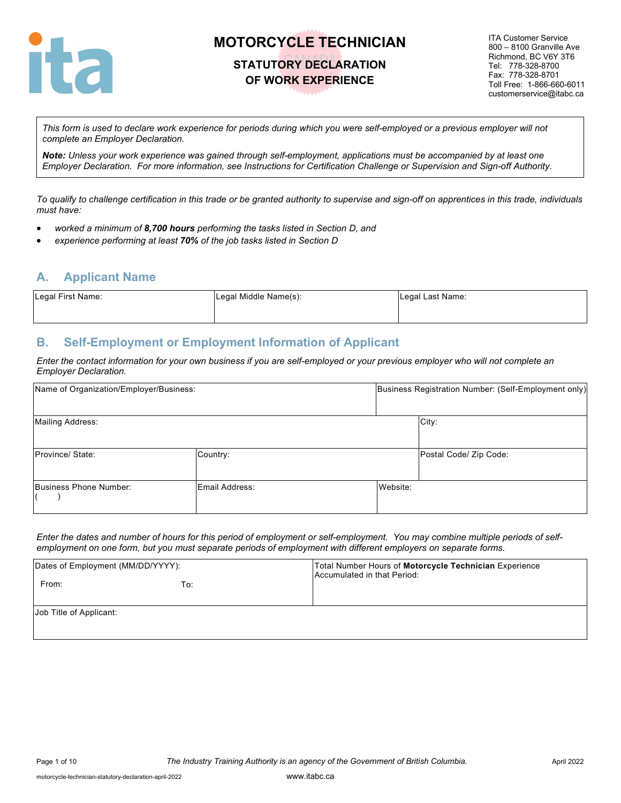

# **MOTORCYCLE TECHNICIAN**

### **STATUTORY DECLARATION OF WORK EXPERIENCE**

ITA Customer Service 800 – 8100 Granville Ave Richmond, BC V6Y 3T6 Tel: 778-328-8700 Fax: 778-328-8701 Toll Free: 1-866-660-6011 customerservice@itabc.ca

*This form is used to declare work experience for periods during which you were self-employed or a previous employer will not complete an Employer Declaration.* 

*Note: Unless your work experience was gained through self-employment, applications must be accompanied by at least one Employer Declaration. For more information, see Instructions for Certification Challenge or Supervision and Sign-off Authority.*

*To qualify to challenge certification in this trade or be granted authority to supervise and sign-off on apprentices in this trade, individuals must have:*

- *worked a minimum of 8,700 hours performing the tasks listed in Section D, and*
- *experience performing at least 70% of the job tasks listed in Section D*

#### **A. Applicant Name**

| Legal First Name: | Legal Middle Name(s): | Legal Last Name: |
|-------------------|-----------------------|------------------|
|                   |                       |                  |

#### **B. Self-Employment or Employment Information of Applicant**

*Enter the contact information for your own business if you are self-employed or your previous employer who will not complete an Employer Declaration.*

| Name of Organization/Employer/Business: |                | Business Registration Number: (Self-Employment only) |
|-----------------------------------------|----------------|------------------------------------------------------|
| <b>Mailing Address:</b>                 |                | City:                                                |
| Province/ State:                        | Country:       | Postal Code/ Zip Code:                               |
| Business Phone Number:                  | Email Address: | Website:                                             |

*Enter the dates and number of hours for this period of employment or self-employment. You may combine multiple periods of selfemployment on one form, but you must separate periods of employment with different employers on separate forms.*

| Dates of Employment (MM/DD/YYYY): |     | Total Number Hours of Motorcycle Technician Experience<br>Accumulated in that Period: |
|-----------------------------------|-----|---------------------------------------------------------------------------------------|
| From:                             | To: |                                                                                       |
| Job Title of Applicant:           |     |                                                                                       |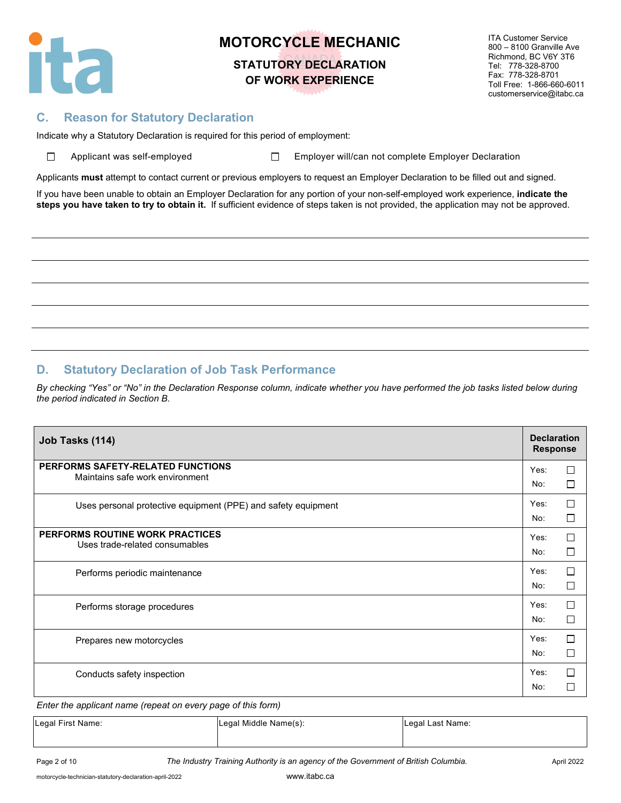

## **STATUTORY DECLARATION OF WORK EXPERIENCE**

ITA Customer Service 800 – 8100 Granville Ave Richmond, BC V6Y 3T6 Tel: 778-328-8700 Fax: 778-328-8701 Toll Free: 1-866-660-6011 customerservice@itabc.ca

#### **C. Reason for Statutory Declaration**

Indicate why a Statutory Declaration is required for this period of employment:

| $\Box$ | Applicant was self-emplo |  |
|--------|--------------------------|--|
|        |                          |  |

Applicant Moreon Employer will/can not complete Employer Declaration

Applicants **must** attempt to contact current or previous employers to request an Employer Declaration to be filled out and signed.

If you have been unable to obtain an Employer Declaration for any portion of your non-self-employed work experience, **indicate the steps you have taken to try to obtain it.** If sufficient evidence of steps taken is not provided, the application may not be approved.

#### **D. Statutory Declaration of Job Task Performance**

*By checking "Yes" or "No" in the Declaration Response column, indicate whether you have performed the job tasks listed below during the period indicated in Section B.*

| Job Tasks (114)                                                      | <b>Declaration</b><br><b>Response</b> |                   |
|----------------------------------------------------------------------|---------------------------------------|-------------------|
| PERFORMS SAFETY-RELATED FUNCTIONS<br>Maintains safe work environment | Yes:<br>No:                           | $\Box$<br>$\Box$  |
| Uses personal protective equipment (PPE) and safety equipment        | Yes:<br>No:                           | П<br>$\Box$       |
| PERFORMS ROUTINE WORK PRACTICES<br>Uses trade-related consumables    | Yes:<br>No:                           | П<br>$\mathsf{L}$ |
| Performs periodic maintenance                                        | Yes:<br>No:                           | П<br>$\Box$       |
| Performs storage procedures                                          | Yes:<br>No:                           | $\Box$<br>П       |
| Prepares new motorcycles                                             | Yes:<br>No:                           | П<br>П            |
| Conducts safety inspection                                           | Yes:<br>No:                           | П<br>$\mathbf{r}$ |

*Enter the applicant name (repeat on every page of this form)*

| Legal First Name: | Legal Middle Name(s): | Legal Last Name: |
|-------------------|-----------------------|------------------|
|                   |                       |                  |

Page 2 of 10 **The Industry Training Authority is an agency of the Government of British Columbia.** April 2022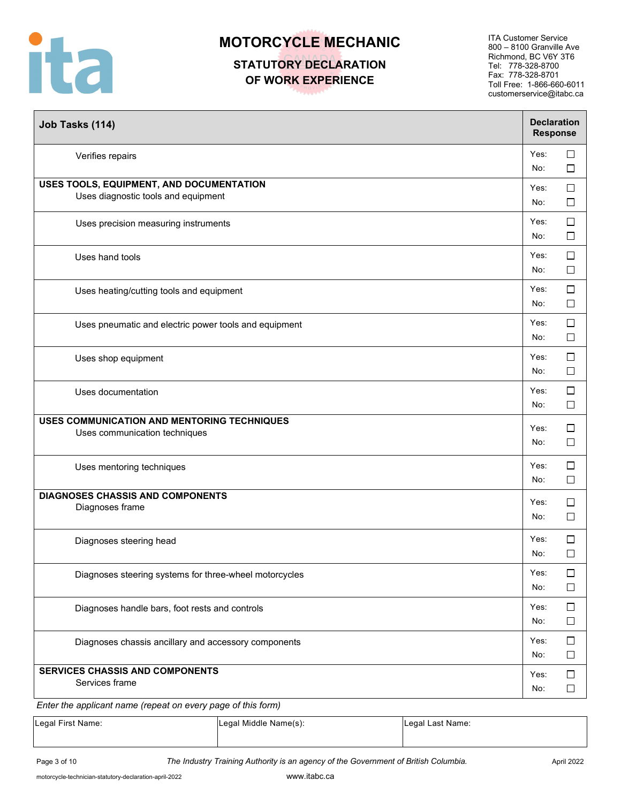

## **STATUTORY DECLARATION OF WORK EXPERIENCE**

ITA Customer Service 800 – 8100 Granville Ave Richmond, BC V6Y 3T6 Tel: 778-328-8700 Fax: 778-328-8701 Toll Free: 1-866-660-6011 customerservice@itabc.ca

| Job Tasks (114)                                                                 | <b>Declaration</b><br><b>Response</b> |                  |
|---------------------------------------------------------------------------------|---------------------------------------|------------------|
| Verifies repairs                                                                | Yes:<br>No:                           | $\Box$<br>$\Box$ |
| USES TOOLS, EQUIPMENT, AND DOCUMENTATION<br>Uses diagnostic tools and equipment | Yes:<br>No:                           | $\Box$<br>$\Box$ |
| Uses precision measuring instruments                                            | Yes:<br>No:                           | $\Box$<br>$\Box$ |
| Uses hand tools                                                                 | Yes:<br>No:                           | $\Box$<br>$\Box$ |
| Uses heating/cutting tools and equipment                                        | Yes:<br>No:                           | □<br>$\Box$      |
| Uses pneumatic and electric power tools and equipment                           | Yes:<br>No:                           | $\Box$<br>$\Box$ |
| Uses shop equipment                                                             | Yes:<br>No:                           | $\Box$<br>$\Box$ |
| Uses documentation                                                              | Yes:<br>No:                           | $\Box$<br>$\Box$ |
| USES COMMUNICATION AND MENTORING TECHNIQUES<br>Uses communication techniques    | Yes:<br>No:                           | $\Box$<br>$\Box$ |
| Uses mentoring techniques                                                       | Yes:<br>No:                           | $\Box$<br>$\Box$ |
| <b>DIAGNOSES CHASSIS AND COMPONENTS</b><br>Diagnoses frame                      | Yes:<br>No:                           | ⊔<br>$\Box$      |
| Diagnoses steering head                                                         | Yes:<br>No:                           | □<br>$\Box$      |
| Diagnoses steering systems for three-wheel motorcycles                          | Yes:<br>No:                           | $\Box$<br>□      |
| Diagnoses handle bars, foot rests and controls                                  | Yes:<br>No:                           | $\Box$<br>$\Box$ |
| Diagnoses chassis ancillary and accessory components                            | Yes:<br>No:                           | $\Box$<br>$\Box$ |
| <b>SERVICES CHASSIS AND COMPONENTS</b><br>Services frame                        | Yes:<br>No:                           | $\Box$<br>$\Box$ |
| Enter the applicant name (repeat on every page of this form)                    |                                       |                  |

| Legal First Name: | Legal Middle Name(s): | Legal Last Name: |
|-------------------|-----------------------|------------------|
|                   |                       |                  |

Page 3 of 10 **The Industry Training Authority is an agency of the Government of British Columbia.** April 2022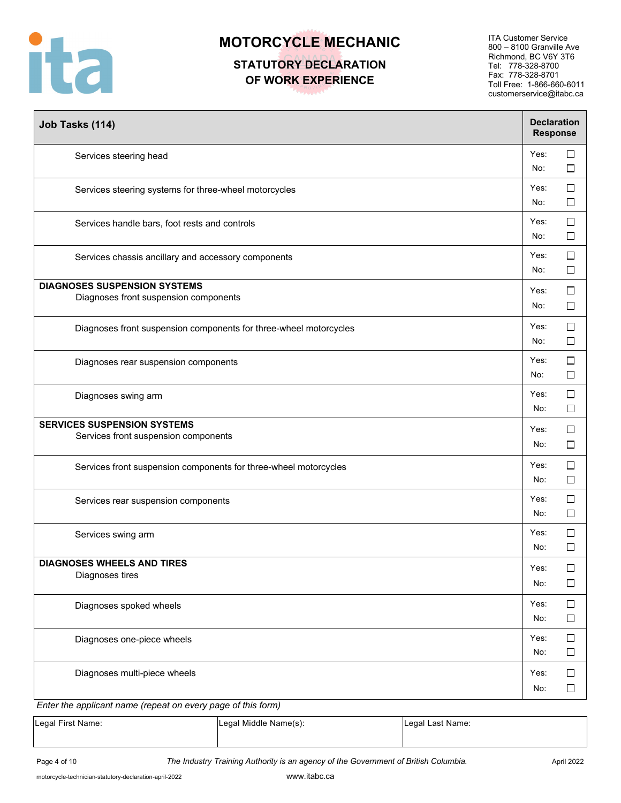

### **STATUTORY DECLARATION OF WORK EXPERIENCE**

ITA Customer Service 800 – 8100 Granville Ave Richmond, BC V6Y 3T6 Tel: 778-328-8700 Fax: 778-328-8701 Toll Free: 1-866-660-6011 customerservice@itabc.ca

| Job Tasks (114)                                                              | <b>Declaration</b><br><b>Response</b> |                  |
|------------------------------------------------------------------------------|---------------------------------------|------------------|
| Services steering head                                                       | Yes:<br>No:                           | $\Box$<br>$\Box$ |
| Services steering systems for three-wheel motorcycles                        | Yes:<br>No:                           | $\Box$<br>$\Box$ |
| Services handle bars, foot rests and controls                                | Yes:<br>No:                           | □<br>$\Box$      |
| Services chassis ancillary and accessory components                          | Yes:<br>No:                           | $\Box$<br>$\Box$ |
| <b>DIAGNOSES SUSPENSION SYSTEMS</b><br>Diagnoses front suspension components | Yes:<br>No:                           | $\Box$<br>$\Box$ |
| Diagnoses front suspension components for three-wheel motorcycles            | Yes:<br>No:                           | □<br>$\Box$      |
| Diagnoses rear suspension components                                         | Yes:<br>No:                           | □<br>□           |
| Diagnoses swing arm                                                          | Yes:<br>No:                           | $\Box$<br>□      |
| <b>SERVICES SUSPENSION SYSTEMS</b><br>Services front suspension components   | Yes:<br>No:                           | $\Box$<br>□      |
| Services front suspension components for three-wheel motorcycles             | Yes:<br>No:                           | $\Box$<br>$\Box$ |
| Services rear suspension components                                          | Yes:<br>No:                           | $\Box$<br>□      |
| Services swing arm                                                           | Yes:<br>No:                           | □<br>□           |
| <b>DIAGNOSES WHEELS AND TIRES</b><br>Diagnoses tires                         | Yes:<br>No:                           | $\Box$<br>□      |
| Diagnoses spoked wheels                                                      | Yes:<br>No:                           | $\Box$<br>$\Box$ |
| Diagnoses one-piece wheels                                                   | Yes:<br>No:                           | □<br>$\Box$      |
| Diagnoses multi-piece wheels                                                 | Yes:<br>No:                           | $\Box$<br>$\Box$ |
| Enter the applicant name (repeat on every page of this form)                 |                                       |                  |

| Legal First Name: | Legal Middle Name(s): | Legal Last Name: |
|-------------------|-----------------------|------------------|
|                   |                       |                  |

Page 4 of 10 **The Industry Training Authority is an agency of the Government of British Columbia.** April 2022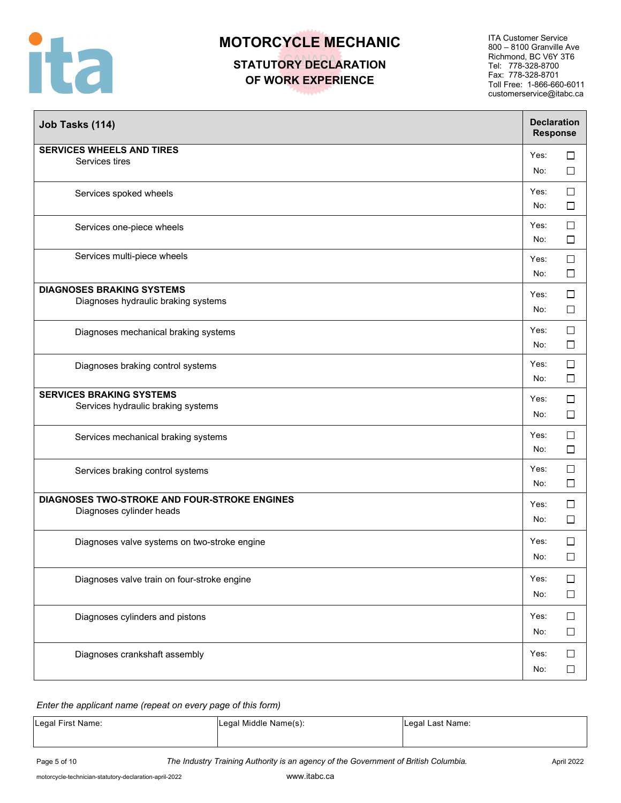

### **STATUTORY DECLARATION OF WORK EXPERIENCE**

ITA Customer Service 800 – 8100 Granville Ave Richmond, BC V6Y 3T6 Tel: 778-328-8700 Fax: 778-328-8701 Toll Free: 1-866-660-6011 customerservice@itabc.ca

| Job Tasks (114)                                                          |             | <b>Declaration</b><br><b>Response</b> |  |
|--------------------------------------------------------------------------|-------------|---------------------------------------|--|
| <b>SERVICES WHEELS AND TIRES</b><br>Services tires                       | Yes:<br>No: | $\Box$<br>$\Box$                      |  |
| Services spoked wheels                                                   | Yes:<br>No: | $\Box$<br>$\Box$                      |  |
| Services one-piece wheels                                                | Yes:<br>No: | $\Box$<br>$\Box$                      |  |
| Services multi-piece wheels                                              | Yes:<br>No: | $\Box$<br>$\Box$                      |  |
| <b>DIAGNOSES BRAKING SYSTEMS</b><br>Diagnoses hydraulic braking systems  | Yes:<br>No: | $\Box$<br>$\Box$                      |  |
| Diagnoses mechanical braking systems                                     | Yes:<br>No: | $\Box$<br>□                           |  |
| Diagnoses braking control systems                                        | Yes:<br>No: | $\Box$<br>$\Box$                      |  |
| <b>SERVICES BRAKING SYSTEMS</b><br>Services hydraulic braking systems    | Yes:<br>No: | $\Box$<br>$\Box$                      |  |
| Services mechanical braking systems                                      | Yes:<br>No: | $\Box$<br>$\Box$                      |  |
| Services braking control systems                                         | Yes:<br>No: | $\Box$<br>$\Box$                      |  |
| DIAGNOSES TWO-STROKE AND FOUR-STROKE ENGINES<br>Diagnoses cylinder heads | Yes:<br>No: | $\Box$<br>$\Box$                      |  |
| Diagnoses valve systems on two-stroke engine                             | Yes:<br>No: | $\Box$<br>$\Box$                      |  |
| Diagnoses valve train on four-stroke engine                              | Yes:<br>No: | $\Box$<br>$\Box$                      |  |
| Diagnoses cylinders and pistons                                          | Yes:<br>No: | $\Box$<br>$\Box$                      |  |
| Diagnoses crankshaft assembly                                            | Yes:<br>No: | $\Box$<br>$\Box$                      |  |

#### *Enter the applicant name (repeat on every page of this form)*

| Legal First Name: | Legal Middle Name(s): | Legal Last Name: |
|-------------------|-----------------------|------------------|
|                   |                       |                  |

Page 5 of 10 **The Industry Training Authority is an agency of the Government of British Columbia.** April 2022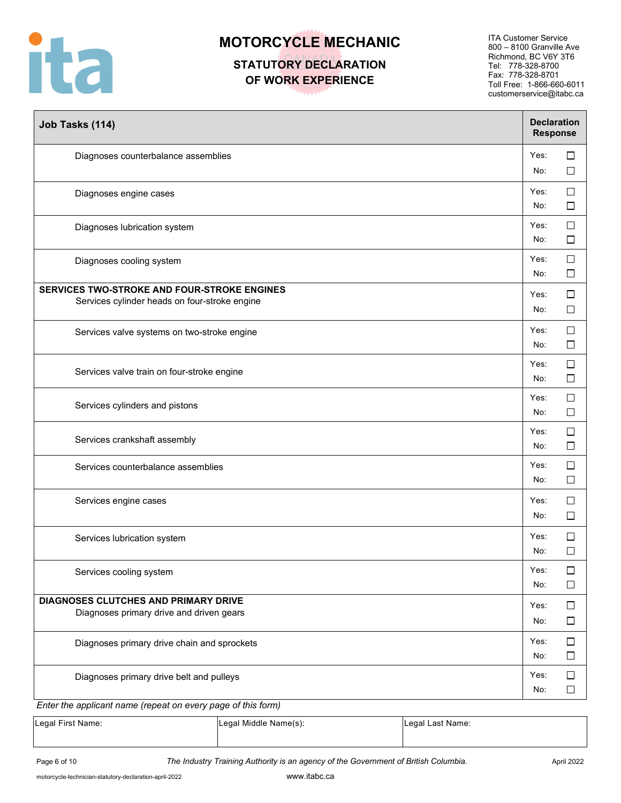

## **STATUTORY DECLARATION OF WORK EXPERIENCE**

ITA Customer Service 800 – 8100 Granville Ave Richmond, BC V6Y 3T6 Tel: 778-328-8700 Fax: 778-328-8701 Toll Free: 1-866-660-6011 customerservice@itabc.ca

| Yes:<br>Diagnoses counterbalance assemblies<br>□<br>No:<br>$\Box$<br>Yes:<br>$\Box$<br>Diagnoses engine cases<br>$\Box$<br>No:<br>Yes:<br>□<br>Diagnoses lubrication system<br>$\Box$<br>No:<br>Yes:<br>$\Box$<br>Diagnoses cooling system<br>$\Box$<br>No:<br>SERVICES TWO-STROKE AND FOUR-STROKE ENGINES<br>$\Box$<br>Yes:<br>Services cylinder heads on four-stroke engine<br>$\Box$<br>No:<br>$\Box$<br>Yes:<br>Services valve systems on two-stroke engine<br>$\Box$<br>No:<br>$\Box$<br>Yes:<br>Services valve train on four-stroke engine<br>$\Box$<br>No:<br>$\Box$<br>Yes:<br>Services cylinders and pistons<br>$\Box$<br>No:<br>$\Box$<br>Yes:<br>Services crankshaft assembly<br>$\Box$<br>No:<br>Yes:<br>□<br>Services counterbalance assemblies<br>$\Box$<br>No:<br>Services engine cases<br>Yes:<br>□<br>No:<br>$\Box$<br>Yes:<br>□<br>Services lubrication system<br>No:<br>$\Box$<br>Yes:<br>$\Box$<br>Services cooling system<br>No:<br>□<br>DIAGNOSES CLUTCHES AND PRIMARY DRIVE<br>$\Box$<br>Yes:<br>Diagnoses primary drive and driven gears<br>No:<br>$\Box$<br>$\Box$<br>Yes:<br>Diagnoses primary drive chain and sprockets<br>$\Box$<br>No:<br>$\Box$<br>Yes:<br>Diagnoses primary drive belt and pulleys<br>$\Box$<br>No: | Job Tasks (114) |  |  |  |  |  |  |  |  |  |  |
|----------------------------------------------------------------------------------------------------------------------------------------------------------------------------------------------------------------------------------------------------------------------------------------------------------------------------------------------------------------------------------------------------------------------------------------------------------------------------------------------------------------------------------------------------------------------------------------------------------------------------------------------------------------------------------------------------------------------------------------------------------------------------------------------------------------------------------------------------------------------------------------------------------------------------------------------------------------------------------------------------------------------------------------------------------------------------------------------------------------------------------------------------------------------------------------------------------------------------------------------------|-----------------|--|--|--|--|--|--|--|--|--|--|
|                                                                                                                                                                                                                                                                                                                                                                                                                                                                                                                                                                                                                                                                                                                                                                                                                                                                                                                                                                                                                                                                                                                                                                                                                                                    |                 |  |  |  |  |  |  |  |  |  |  |
|                                                                                                                                                                                                                                                                                                                                                                                                                                                                                                                                                                                                                                                                                                                                                                                                                                                                                                                                                                                                                                                                                                                                                                                                                                                    |                 |  |  |  |  |  |  |  |  |  |  |
|                                                                                                                                                                                                                                                                                                                                                                                                                                                                                                                                                                                                                                                                                                                                                                                                                                                                                                                                                                                                                                                                                                                                                                                                                                                    |                 |  |  |  |  |  |  |  |  |  |  |
|                                                                                                                                                                                                                                                                                                                                                                                                                                                                                                                                                                                                                                                                                                                                                                                                                                                                                                                                                                                                                                                                                                                                                                                                                                                    |                 |  |  |  |  |  |  |  |  |  |  |
|                                                                                                                                                                                                                                                                                                                                                                                                                                                                                                                                                                                                                                                                                                                                                                                                                                                                                                                                                                                                                                                                                                                                                                                                                                                    |                 |  |  |  |  |  |  |  |  |  |  |
|                                                                                                                                                                                                                                                                                                                                                                                                                                                                                                                                                                                                                                                                                                                                                                                                                                                                                                                                                                                                                                                                                                                                                                                                                                                    |                 |  |  |  |  |  |  |  |  |  |  |
|                                                                                                                                                                                                                                                                                                                                                                                                                                                                                                                                                                                                                                                                                                                                                                                                                                                                                                                                                                                                                                                                                                                                                                                                                                                    |                 |  |  |  |  |  |  |  |  |  |  |
|                                                                                                                                                                                                                                                                                                                                                                                                                                                                                                                                                                                                                                                                                                                                                                                                                                                                                                                                                                                                                                                                                                                                                                                                                                                    |                 |  |  |  |  |  |  |  |  |  |  |
|                                                                                                                                                                                                                                                                                                                                                                                                                                                                                                                                                                                                                                                                                                                                                                                                                                                                                                                                                                                                                                                                                                                                                                                                                                                    |                 |  |  |  |  |  |  |  |  |  |  |
|                                                                                                                                                                                                                                                                                                                                                                                                                                                                                                                                                                                                                                                                                                                                                                                                                                                                                                                                                                                                                                                                                                                                                                                                                                                    |                 |  |  |  |  |  |  |  |  |  |  |
|                                                                                                                                                                                                                                                                                                                                                                                                                                                                                                                                                                                                                                                                                                                                                                                                                                                                                                                                                                                                                                                                                                                                                                                                                                                    |                 |  |  |  |  |  |  |  |  |  |  |
|                                                                                                                                                                                                                                                                                                                                                                                                                                                                                                                                                                                                                                                                                                                                                                                                                                                                                                                                                                                                                                                                                                                                                                                                                                                    |                 |  |  |  |  |  |  |  |  |  |  |
|                                                                                                                                                                                                                                                                                                                                                                                                                                                                                                                                                                                                                                                                                                                                                                                                                                                                                                                                                                                                                                                                                                                                                                                                                                                    |                 |  |  |  |  |  |  |  |  |  |  |
|                                                                                                                                                                                                                                                                                                                                                                                                                                                                                                                                                                                                                                                                                                                                                                                                                                                                                                                                                                                                                                                                                                                                                                                                                                                    |                 |  |  |  |  |  |  |  |  |  |  |
|                                                                                                                                                                                                                                                                                                                                                                                                                                                                                                                                                                                                                                                                                                                                                                                                                                                                                                                                                                                                                                                                                                                                                                                                                                                    |                 |  |  |  |  |  |  |  |  |  |  |
| Enter the applicant name (repeat on every page of this form)                                                                                                                                                                                                                                                                                                                                                                                                                                                                                                                                                                                                                                                                                                                                                                                                                                                                                                                                                                                                                                                                                                                                                                                       |                 |  |  |  |  |  |  |  |  |  |  |

| Legal First Name: | Legal Middle Name(s): | Legal Last Name: |
|-------------------|-----------------------|------------------|
|                   |                       |                  |

Page 6 of 10 **The Industry Training Authority is an agency of the Government of British Columbia.** April 2022 April 2022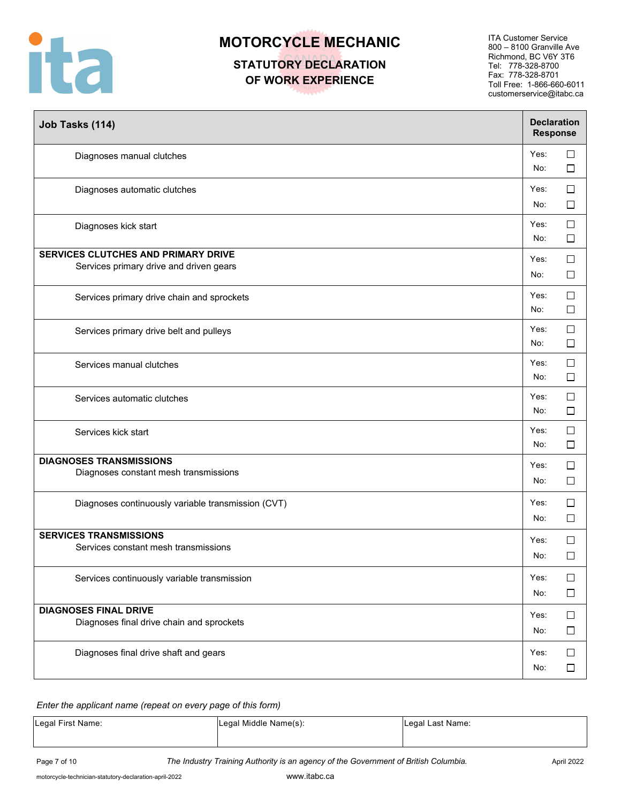

### **STATUTORY DECLARATION OF WORK EXPERIENCE**

ITA Customer Service 800 – 8100 Granville Ave Richmond, BC V6Y 3T6 Tel: 778-328-8700 Fax: 778-328-8701 Toll Free: 1-866-660-6011 customerservice@itabc.ca

| Job Tasks (114)                                                                | <b>Declaration</b><br><b>Response</b> |                  |  |  |  |  |  |  |  |  |
|--------------------------------------------------------------------------------|---------------------------------------|------------------|--|--|--|--|--|--|--|--|
| Diagnoses manual clutches                                                      | Yes:<br>No:                           | $\Box$<br>$\Box$ |  |  |  |  |  |  |  |  |
| Diagnoses automatic clutches                                                   |                                       |                  |  |  |  |  |  |  |  |  |
| Diagnoses kick start                                                           |                                       |                  |  |  |  |  |  |  |  |  |
| SERVICES CLUTCHES AND PRIMARY DRIVE<br>Services primary drive and driven gears | Yes:<br>No:                           | $\Box$<br>□      |  |  |  |  |  |  |  |  |
| Services primary drive chain and sprockets                                     | Yes:<br>No:                           | $\Box$<br>$\Box$ |  |  |  |  |  |  |  |  |
| Services primary drive belt and pulleys                                        |                                       |                  |  |  |  |  |  |  |  |  |
| Services manual clutches                                                       |                                       |                  |  |  |  |  |  |  |  |  |
| Services automatic clutches                                                    |                                       |                  |  |  |  |  |  |  |  |  |
| Services kick start                                                            |                                       |                  |  |  |  |  |  |  |  |  |
| <b>DIAGNOSES TRANSMISSIONS</b><br>Diagnoses constant mesh transmissions        |                                       |                  |  |  |  |  |  |  |  |  |
| Diagnoses continuously variable transmission (CVT)                             | Yes:<br>No:                           | $\Box$<br>$\Box$ |  |  |  |  |  |  |  |  |
| <b>SERVICES TRANSMISSIONS</b><br>Services constant mesh transmissions          | Yes:<br>No:                           | $\Box$<br>□      |  |  |  |  |  |  |  |  |
| Services continuously variable transmission                                    |                                       |                  |  |  |  |  |  |  |  |  |
| <b>DIAGNOSES FINAL DRIVE</b><br>Diagnoses final drive chain and sprockets      |                                       |                  |  |  |  |  |  |  |  |  |
| Diagnoses final drive shaft and gears                                          | Yes:<br>No:                           | $\Box$<br>$\Box$ |  |  |  |  |  |  |  |  |

#### *Enter the applicant name (repeat on every page of this form)*

| Legal First Name: | Legal Middle Name(s): | Legal Last Name: |
|-------------------|-----------------------|------------------|
|-------------------|-----------------------|------------------|

Page 7 of 10 **The Industry Training Authority is an agency of the Government of British Columbia.** April 2022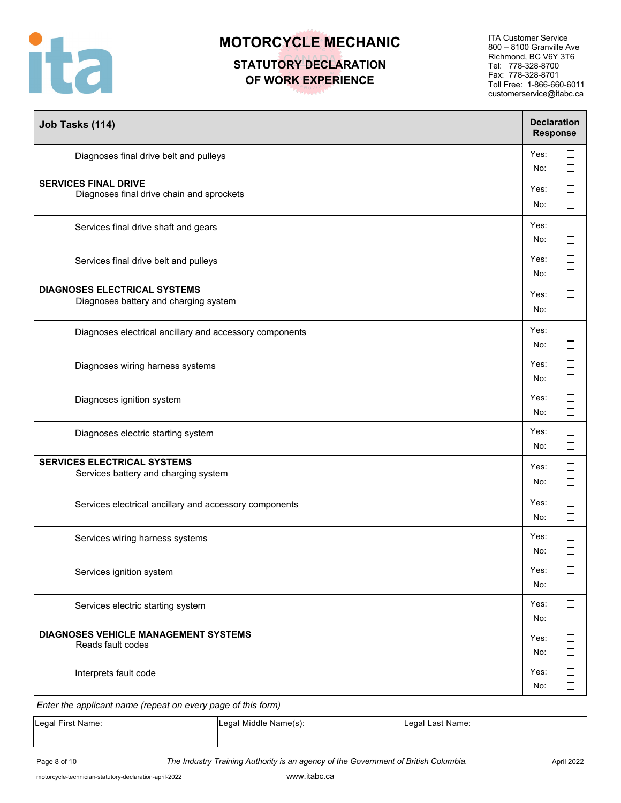

## **STATUTORY DECLARATION OF WORK EXPERIENCE**

ITA Customer Service 800 – 8100 Granville Ave Richmond, BC V6Y 3T6 Tel: 778-328-8700 Fax: 778-328-8701 Toll Free: 1-866-660-6011 customerservice@itabc.ca

| Job Tasks (114)                                                              | <b>Declaration</b><br><b>Response</b> |                  |  |  |  |  |  |  |  |  |
|------------------------------------------------------------------------------|---------------------------------------|------------------|--|--|--|--|--|--|--|--|
| Diagnoses final drive belt and pulleys                                       | Yes:<br>No:                           | $\Box$<br>$\Box$ |  |  |  |  |  |  |  |  |
| <b>SERVICES FINAL DRIVE</b><br>Diagnoses final drive chain and sprockets     | Yes:<br>No:                           | $\Box$<br>$\Box$ |  |  |  |  |  |  |  |  |
| Services final drive shaft and gears                                         |                                       |                  |  |  |  |  |  |  |  |  |
| Services final drive belt and pulleys                                        | Yes:<br>No:                           | $\Box$<br>$\Box$ |  |  |  |  |  |  |  |  |
| <b>DIAGNOSES ELECTRICAL SYSTEMS</b><br>Diagnoses battery and charging system | Yes:<br>No:                           | $\Box$<br>$\Box$ |  |  |  |  |  |  |  |  |
| Diagnoses electrical ancillary and accessory components                      | Yes:<br>No:                           | $\Box$<br>$\Box$ |  |  |  |  |  |  |  |  |
| Diagnoses wiring harness systems                                             |                                       |                  |  |  |  |  |  |  |  |  |
| Diagnoses ignition system                                                    | Yes:<br>No:                           | $\Box$<br>$\Box$ |  |  |  |  |  |  |  |  |
| Diagnoses electric starting system                                           | Yes:<br>No:                           | $\Box$<br>$\Box$ |  |  |  |  |  |  |  |  |
| <b>SERVICES ELECTRICAL SYSTEMS</b><br>Services battery and charging system   | Yes:<br>No:                           | $\Box$<br>$\Box$ |  |  |  |  |  |  |  |  |
| Services electrical ancillary and accessory components                       | Yes:<br>No:                           | $\Box$<br>$\Box$ |  |  |  |  |  |  |  |  |
| Services wiring harness systems                                              | Yes:<br>No:                           | $\Box$<br>$\Box$ |  |  |  |  |  |  |  |  |
| Services ignition system                                                     |                                       |                  |  |  |  |  |  |  |  |  |
| Services electric starting system                                            |                                       |                  |  |  |  |  |  |  |  |  |
| <b>DIAGNOSES VEHICLE MANAGEMENT SYSTEMS</b><br>Reads fault codes             | Yes:<br>No:                           | $\Box$<br>$\Box$ |  |  |  |  |  |  |  |  |
| Interprets fault code                                                        | Yes:<br>No:                           | $\Box$<br>$\Box$ |  |  |  |  |  |  |  |  |

*Enter the applicant name (repeat on every page of this form)*

| Legal First Name: | Legal Middle Name(s): | Legal Last Name: |
|-------------------|-----------------------|------------------|
|                   |                       |                  |

Page 8 of 10 **The Industry Training Authority is an agency of the Government of British Columbia.** April 2022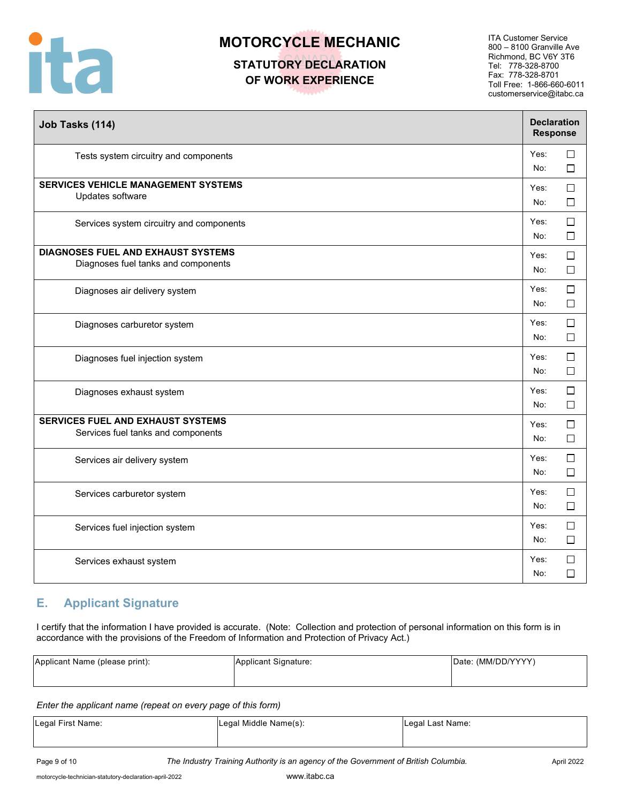

## **STATUTORY DECLARATION OF WORK EXPERIENCE**

ITA Customer Service 800 – 8100 Granville Ave Richmond, BC V6Y 3T6 Tel: 778-328-8700 Fax: 778-328-8701 Toll Free: 1-866-660-6011 customerservice@itabc.ca

| Job Tasks (114)                                                                  | <b>Declaration</b><br><b>Response</b> |                  |  |  |  |  |  |  |  |
|----------------------------------------------------------------------------------|---------------------------------------|------------------|--|--|--|--|--|--|--|
| Tests system circuitry and components                                            | Yes:<br>No:                           | □<br>□           |  |  |  |  |  |  |  |
| <b>SERVICES VEHICLE MANAGEMENT SYSTEMS</b><br>Updates software                   |                                       |                  |  |  |  |  |  |  |  |
| Services system circuitry and components                                         | Yes:<br>No:                           | □<br>$\Box$      |  |  |  |  |  |  |  |
| <b>DIAGNOSES FUEL AND EXHAUST SYSTEMS</b><br>Diagnoses fuel tanks and components | Yes:<br>No:                           | $\Box$<br>$\Box$ |  |  |  |  |  |  |  |
| Diagnoses air delivery system                                                    |                                       |                  |  |  |  |  |  |  |  |
| Diagnoses carburetor system                                                      |                                       |                  |  |  |  |  |  |  |  |
| Diagnoses fuel injection system                                                  |                                       |                  |  |  |  |  |  |  |  |
| Diagnoses exhaust system                                                         | Yes:<br>No:                           | $\Box$<br>$\Box$ |  |  |  |  |  |  |  |
| SERVICES FUEL AND EXHAUST SYSTEMS<br>Services fuel tanks and components          |                                       |                  |  |  |  |  |  |  |  |
| Services air delivery system                                                     |                                       |                  |  |  |  |  |  |  |  |
| Services carburetor system                                                       |                                       |                  |  |  |  |  |  |  |  |
| Services fuel injection system                                                   | Yes:<br>No:                           | □<br>□           |  |  |  |  |  |  |  |
| Services exhaust system                                                          | Yes:<br>No:                           | □<br>П           |  |  |  |  |  |  |  |

## **E. Applicant Signature**

I certify that the information I have provided is accurate. (Note: Collection and protection of personal information on this form is in accordance with the provisions of the Freedom of Information and Protection of Privacy Act.)

| Applicant Name (please print): | Applicant Signature: | Date: (MM/DD/YYYY) |
|--------------------------------|----------------------|--------------------|
|                                |                      |                    |

*Enter the applicant name (repeat on every page of this form)*

| Legal First Name: | Legal Middle Name(s): | Legal Last Name: |
|-------------------|-----------------------|------------------|
|                   |                       |                  |

Page 9 of 10 **The Industry Training Authority is an agency of the Government of British Columbia.** April 2022